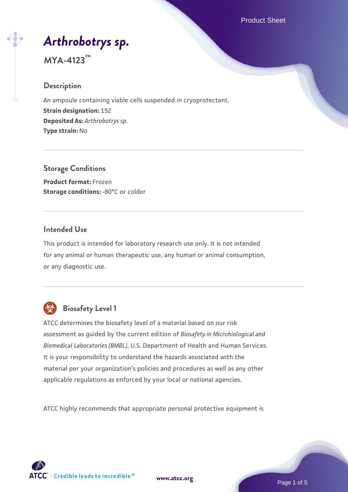Product Sheet

# *[Arthrobotrys sp.](https://www.atcc.org/products/mya-4123)*

## **MYA-4123™**

#### **Description**

An ampoule containing viable cells suspended in cryoprotectant. **Strain designation:** 192 **Deposited As:** *Arthrobotrys sp.* **Type strain:** No

**Storage Conditions Product format:** Frozen **Storage conditions: -80°C or colder** 

#### **Intended Use**

This product is intended for laboratory research use only. It is not intended for any animal or human therapeutic use, any human or animal consumption, or any diagnostic use.



## **Biosafety Level 1**

ATCC determines the biosafety level of a material based on our risk assessment as guided by the current edition of *Biosafety in Microbiological and Biomedical Laboratories (BMBL)*, U.S. Department of Health and Human Services. It is your responsibility to understand the hazards associated with the material per your organization's policies and procedures as well as any other applicable regulations as enforced by your local or national agencies.

ATCC highly recommends that appropriate personal protective equipment is

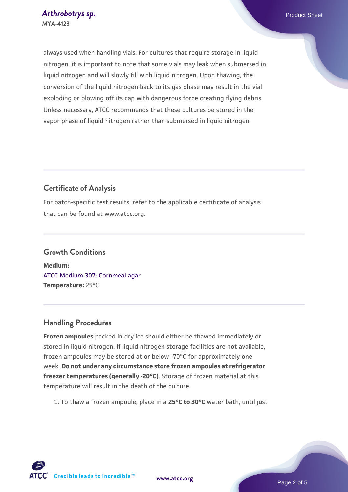always used when handling vials. For cultures that require storage in liquid nitrogen, it is important to note that some vials may leak when submersed in liquid nitrogen and will slowly fill with liquid nitrogen. Upon thawing, the conversion of the liquid nitrogen back to its gas phase may result in the vial exploding or blowing off its cap with dangerous force creating flying debris. Unless necessary, ATCC recommends that these cultures be stored in the vapor phase of liquid nitrogen rather than submersed in liquid nitrogen.

#### **Certificate of Analysis**

For batch-specific test results, refer to the applicable certificate of analysis that can be found at www.atcc.org.

## **Growth Conditions Medium:**  [ATCC Medium 307: Cornmeal agar](https://www.atcc.org/-/media/product-assets/documents/microbial-media-formulations/3/0/7/atcc-medium-307.pdf?rev=5cd8aaa5fcde44f5873396cc2a06f590) **Temperature:** 25°C

#### **Handling Procedures**

**Frozen ampoules** packed in dry ice should either be thawed immediately or stored in liquid nitrogen. If liquid nitrogen storage facilities are not available, frozen ampoules may be stored at or below -70°C for approximately one week. **Do not under any circumstance store frozen ampoules at refrigerator freezer temperatures (generally -20°C)**. Storage of frozen material at this temperature will result in the death of the culture.

1. To thaw a frozen ampoule, place in a **25°C to 30°C** water bath, until just

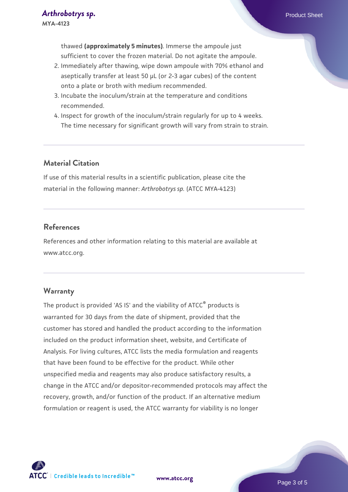thawed **(approximately 5 minutes)**. Immerse the ampoule just sufficient to cover the frozen material. Do not agitate the ampoule.

- 2. Immediately after thawing, wipe down ampoule with 70% ethanol and aseptically transfer at least 50 µL (or 2-3 agar cubes) of the content onto a plate or broth with medium recommended.
- 3. Incubate the inoculum/strain at the temperature and conditions recommended.
- 4. Inspect for growth of the inoculum/strain regularly for up to 4 weeks. The time necessary for significant growth will vary from strain to strain.

#### **Material Citation**

If use of this material results in a scientific publication, please cite the material in the following manner: *Arthrobotrys sp.* (ATCC MYA-4123)

#### **References**

References and other information relating to this material are available at www.atcc.org.

#### **Warranty**

The product is provided 'AS IS' and the viability of ATCC® products is warranted for 30 days from the date of shipment, provided that the customer has stored and handled the product according to the information included on the product information sheet, website, and Certificate of Analysis. For living cultures, ATCC lists the media formulation and reagents that have been found to be effective for the product. While other unspecified media and reagents may also produce satisfactory results, a change in the ATCC and/or depositor-recommended protocols may affect the recovery, growth, and/or function of the product. If an alternative medium formulation or reagent is used, the ATCC warranty for viability is no longer

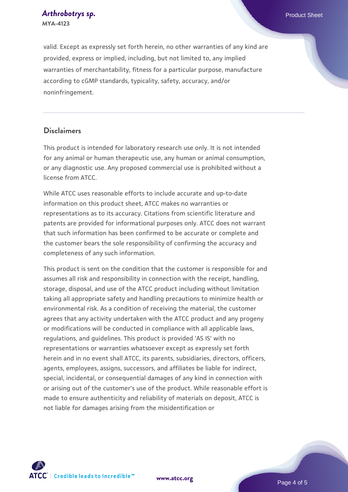*[Arthrobotrys sp.](https://www.atcc.org/products/mya-4123)* Product Sheet **MYA-4123**

valid. Except as expressly set forth herein, no other warranties of any kind are provided, express or implied, including, but not limited to, any implied warranties of merchantability, fitness for a particular purpose, manufacture according to cGMP standards, typicality, safety, accuracy, and/or noninfringement.

#### **Disclaimers**

This product is intended for laboratory research use only. It is not intended for any animal or human therapeutic use, any human or animal consumption, or any diagnostic use. Any proposed commercial use is prohibited without a license from ATCC.

While ATCC uses reasonable efforts to include accurate and up-to-date information on this product sheet, ATCC makes no warranties or representations as to its accuracy. Citations from scientific literature and patents are provided for informational purposes only. ATCC does not warrant that such information has been confirmed to be accurate or complete and the customer bears the sole responsibility of confirming the accuracy and completeness of any such information.

This product is sent on the condition that the customer is responsible for and assumes all risk and responsibility in connection with the receipt, handling, storage, disposal, and use of the ATCC product including without limitation taking all appropriate safety and handling precautions to minimize health or environmental risk. As a condition of receiving the material, the customer agrees that any activity undertaken with the ATCC product and any progeny or modifications will be conducted in compliance with all applicable laws, regulations, and guidelines. This product is provided 'AS IS' with no representations or warranties whatsoever except as expressly set forth herein and in no event shall ATCC, its parents, subsidiaries, directors, officers, agents, employees, assigns, successors, and affiliates be liable for indirect, special, incidental, or consequential damages of any kind in connection with or arising out of the customer's use of the product. While reasonable effort is made to ensure authenticity and reliability of materials on deposit, ATCC is not liable for damages arising from the misidentification or